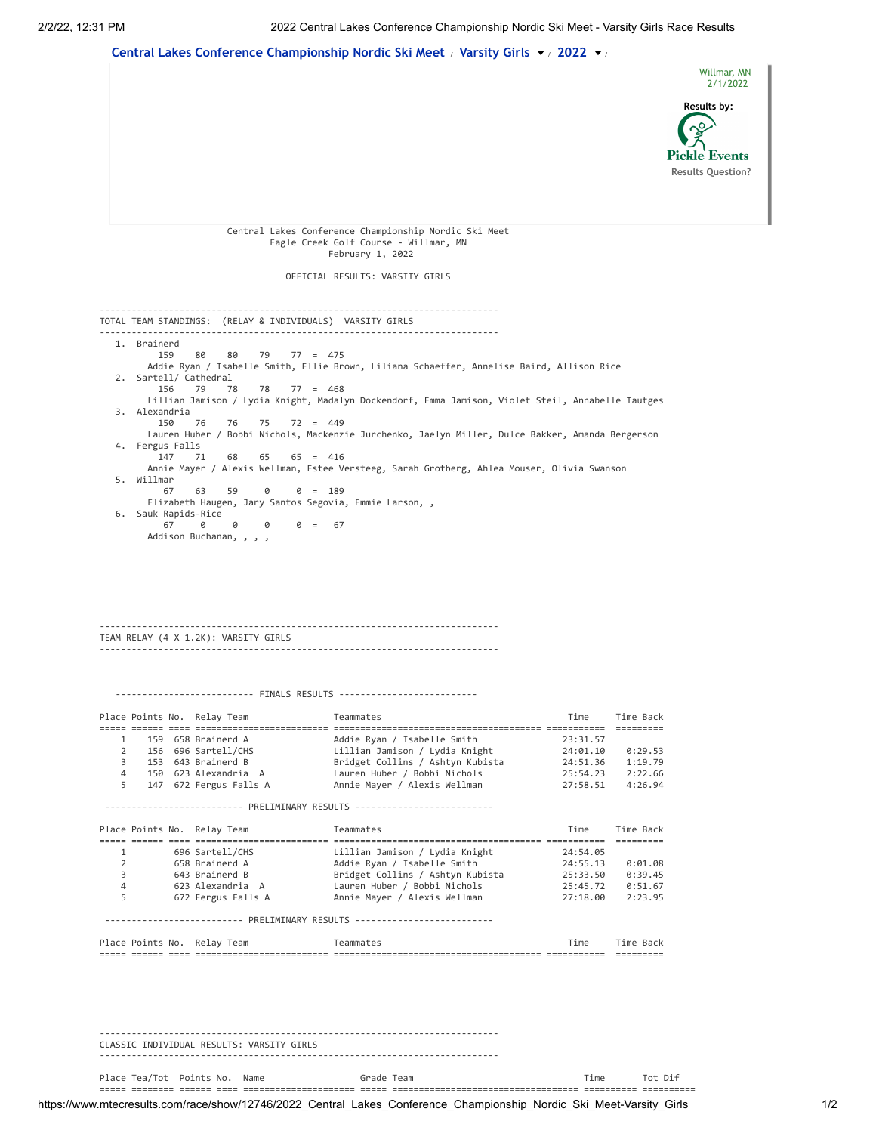

---------------------------------------------------------------------------

Place Tea/Tot Points No. Name The Grade Team The Team Time Tot Dif ===== ======== ====== ==== ===================== ===== =================================== ========== ==========